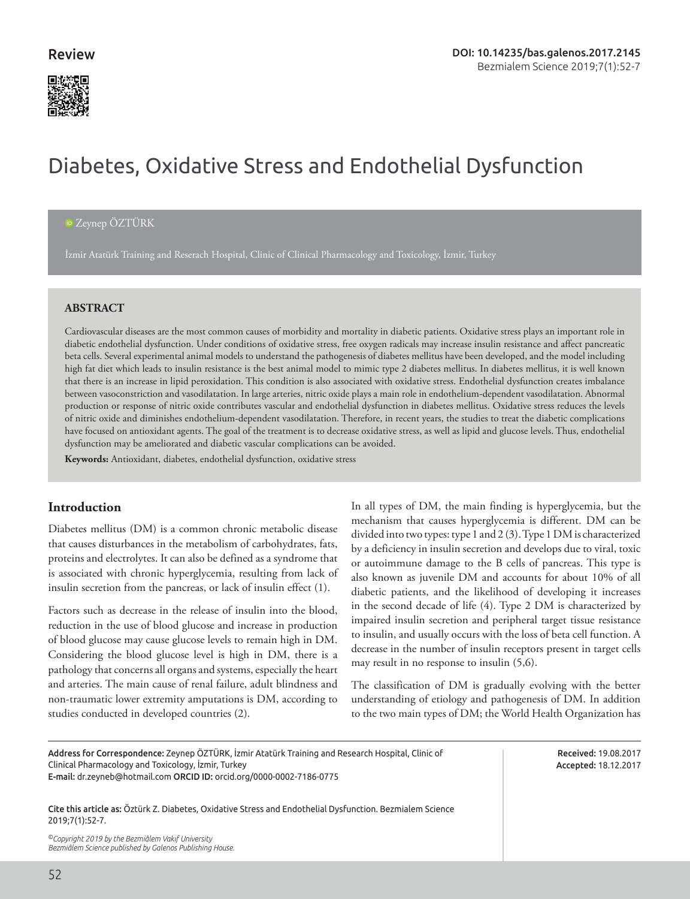

# Diabetes, Oxidative Stress and Endothelial Dysfunction

# [Z](http://orcid.org/0000-0002-7186-0775)eynep ÖZTÜRK

İzmir Atatürk Training and Reserach Hospital, Clinic of Clinical Pharmacology and Toxicology, İzmir, Turkey

#### **ABSTRACT**

Cardiovascular diseases are the most common causes of morbidity and mortality in diabetic patients. Oxidative stress plays an important role in diabetic endothelial dysfunction. Under conditions of oxidative stress, free oxygen radicals may increase insulin resistance and affect pancreatic beta cells. Several experimental animal models to understand the pathogenesis of diabetes mellitus have been developed, and the model including high fat diet which leads to insulin resistance is the best animal model to mimic type 2 diabetes mellitus. In diabetes mellitus, it is well known that there is an increase in lipid peroxidation. This condition is also associated with oxidative stress. Endothelial dysfunction creates imbalance between vasoconstriction and vasodilatation. In large arteries, nitric oxide plays a main role in endothelium-dependent vasodilatation. Abnormal production or response of nitric oxide contributes vascular and endothelial dysfunction in diabetes mellitus. Oxidative stress reduces the levels of nitric oxide and diminishes endothelium-dependent vasodilatation. Therefore, in recent years, the studies to treat the diabetic complications have focused on antioxidant agents. The goal of the treatment is to decrease oxidative stress, as well as lipid and glucose levels. Thus, endothelial dysfunction may be ameliorated and diabetic vascular complications can be avoided.

**Keywords:** Antioxidant, diabetes, endothelial dysfunction, oxidative stress

# **Introduction**

Diabetes mellitus (DM) is a common chronic metabolic disease that causes disturbances in the metabolism of carbohydrates, fats, proteins and electrolytes. It can also be defined as a syndrome that is associated with chronic hyperglycemia, resulting from lack of insulin secretion from the pancreas, or lack of insulin effect (1).

Factors such as decrease in the release of insulin into the blood, reduction in the use of blood glucose and increase in production of blood glucose may cause glucose levels to remain high in DM. Considering the blood glucose level is high in DM, there is a pathology that concerns all organs and systems, especially the heart and arteries. The main cause of renal failure, adult blindness and non-traumatic lower extremity amputations is DM, according to studies conducted in developed countries (2).

In all types of DM, the main finding is hyperglycemia, but the mechanism that causes hyperglycemia is different. DM can be divided into two types: type 1 and 2 (3). Type 1 DM is characterized by a deficiency in insulin secretion and develops due to viral, toxic or autoimmune damage to the B cells of pancreas. This type is also known as juvenile DM and accounts for about 10% of all diabetic patients, and the likelihood of developing it increases in the second decade of life (4). Type 2 DM is characterized by impaired insulin secretion and peripheral target tissue resistance to insulin, and usually occurs with the loss of beta cell function. A decrease in the number of insulin receptors present in target cells may result in no response to insulin (5,6).

The classification of DM is gradually evolving with the better understanding of etiology and pathogenesis of DM. In addition to the two main types of DM; the World Health Organization has

Address for Correspondence: Zeynep ÖZTÜRK, İzmir Atatürk Training and Research Hospital, Clinic of Clinical Pharmacology and Toxicology, İzmir, Turkey E-mail: dr.zeyneb@hotmail.com ORCID ID: orcid.org/0000-0002-7186-0775

Received: 19.08.2017 Accepted: 18.12.2017

Cite this article as: Öztürk Z. Diabetes, Oxidative Stress and Endothelial Dysfunction. Bezmialem Science 2019;7(1):52-7.

*©Copyright 2019 by the Bezmiâlem Vakıf University Bezmiâlem Science published by Galenos Publishing House.*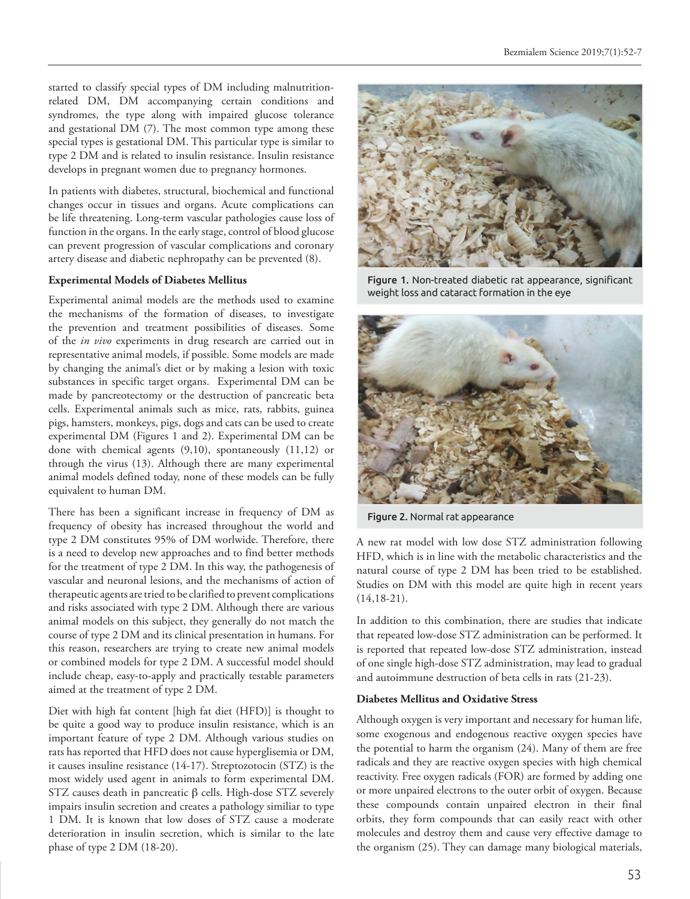started to classify special types of DM including malnutritionrelated DM, DM accompanying certain conditions and syndromes, the type along with impaired glucose tolerance and gestational DM (7). The most common type among these special types is gestational DM. This particular type is similar to type 2 DM and is related to insulin resistance. Insulin resistance develops in pregnant women due to pregnancy hormones.

In patients with diabetes, structural, biochemical and functional changes occur in tissues and organs. Acute complications can be life threatening. Long-term vascular pathologies cause loss of function in the organs. In the early stage, control of blood glucose can prevent progression of vascular complications and coronary artery disease and diabetic nephropathy can be prevented (8).

#### **Experimental Models of Diabetes Mellitus**

Experimental animal models are the methods used to examine the mechanisms of the formation of diseases, to investigate the prevention and treatment possibilities of diseases. Some of the *in vivo* experiments in drug research are carried out in representative animal models, if possible. Some models are made by changing the animal's diet or by making a lesion with toxic substances in specific target organs. Experimental DM can be made by pancreotectomy or the destruction of pancreatic beta cells. Experimental animals such as mice, rats, rabbits, guinea pigs, hamsters, monkeys, pigs, dogs and cats can be used to create experimental DM (Figures 1 and 2). Experimental DM can be done with chemical agents (9,10), spontaneously (11,12) or through the virus (13). Although there are many experimental animal models defined today, none of these models can be fully equivalent to human DM.

There has been a significant increase in frequency of DM as frequency of obesity has increased throughout the world and type 2 DM constitutes 95% of DM worlwide. Therefore, there is a need to develop new approaches and to find better methods for the treatment of type 2 DM. In this way, the pathogenesis of vascular and neuronal lesions, and the mechanisms of action of therapeutic agents are tried to be clarified to prevent complications and risks associated with type 2 DM. Although there are various animal models on this subject, they generally do not match the course of type 2 DM and its clinical presentation in humans. For this reason, researchers are trying to create new animal models or combined models for type 2 DM. A successful model should include cheap, easy-to-apply and practically testable parameters aimed at the treatment of type 2 DM.

Diet with high fat content [high fat diet (HFD)] is thought to be quite a good way to produce insulin resistance, which is an important feature of type 2 DM. Although various studies on rats has reported that HFD does not cause hyperglisemia or DM, it causes insuline resistance (14-17). Streptozotocin (STZ) is the most widely used agent in animals to form experimental DM. STZ causes death in pancreatic β cells. High-dose STZ severely impairs insulin secretion and creates a pathology similiar to type 1 DM. It is known that low doses of STZ cause a moderate deterioration in insulin secretion, which is similar to the late phase of type 2 DM (18-20).



Figure 1. Non-treated diabetic rat appearance, significant weight loss and cataract formation in the eye



Figure 2. Normal rat appearance

A new rat model with low dose STZ administration following HFD, which is in line with the metabolic characteristics and the natural course of type 2 DM has been tried to be established. Studies on DM with this model are quite high in recent years  $(14,18-21)$ .

In addition to this combination, there are studies that indicate that repeated low-dose STZ administration can be performed. It is reported that repeated low-dose STZ administration, instead of one single high-dose STZ administration, may lead to gradual and autoimmune destruction of beta cells in rats (21-23).

#### **Diabetes Mellitus and Oxidative Stress**

Although oxygen is very important and necessary for human life, some exogenous and endogenous reactive oxygen species have the potential to harm the organism (24). Many of them are free radicals and they are reactive oxygen species with high chemical reactivity. Free oxygen radicals (FOR) are formed by adding one or more unpaired electrons to the outer orbit of oxygen. Because these compounds contain unpaired electron in their final orbits, they form compounds that can easily react with other molecules and destroy them and cause very effective damage to the organism (25). They can damage many biological materials,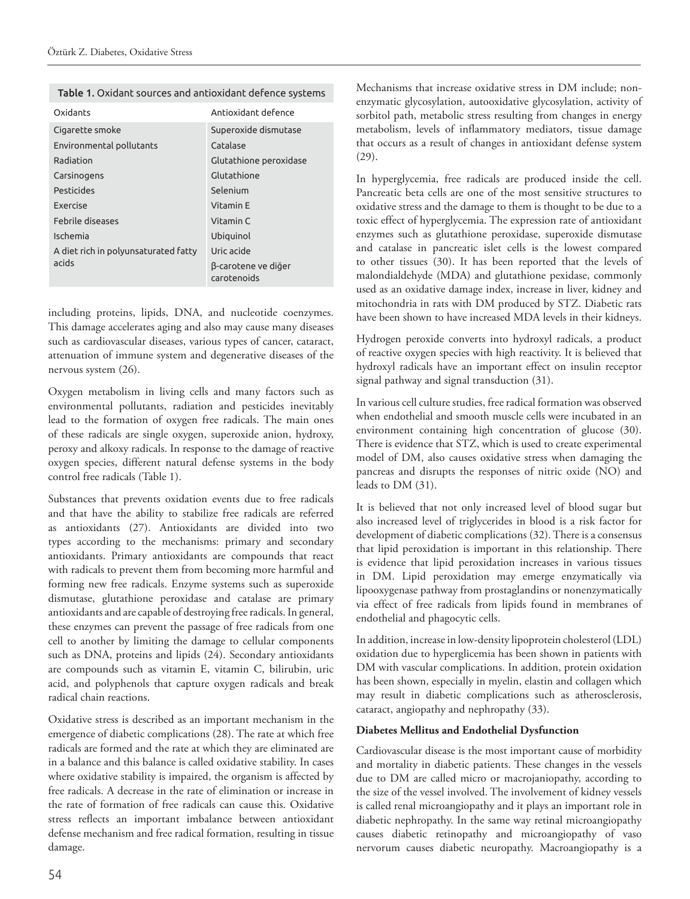|  |  |  |  | Table 1. Oxidant sources and antioxidant defence systems |
|--|--|--|--|----------------------------------------------------------|
|--|--|--|--|----------------------------------------------------------|

| Oxidants                             | Antioxidant defence                |  |
|--------------------------------------|------------------------------------|--|
| Cigarette smoke                      | Superoxide dismutase               |  |
| Environmental pollutants             | Catalase                           |  |
| Radiation                            | Glutathione peroxidase             |  |
| Carsinogens                          | Glutathione                        |  |
| Pesticides                           | Selenium                           |  |
| <b>Exercise</b>                      | Vitamin F                          |  |
| <b>Eebrile diseases</b>              | Vitamin C                          |  |
| Ischemia                             | Ubiquinol                          |  |
| A diet rich in polyunsaturated fatty | Uric acide                         |  |
| acids                                | β-carotene ve diğer<br>carotenoids |  |

including proteins, lipids, DNA, and nucleotide coenzymes. This damage accelerates aging and also may cause many diseases such as cardiovascular diseases, various types of cancer, cataract, attenuation of immune system and degenerative diseases of the nervous system (26).

Oxygen metabolism in living cells and many factors such as environmental pollutants, radiation and pesticides inevitably lead to the formation of oxygen free radicals. The main ones of these radicals are single oxygen, superoxide anion, hydroxy, peroxy and alkoxy radicals. In response to the damage of reactive oxygen species, different natural defense systems in the body control free radicals (Table 1).

Substances that prevents oxidation events due to free radicals and that have the ability to stabilize free radicals are referred as antioxidants (27). Antioxidants are divided into two types according to the mechanisms: primary and secondary antioxidants. Primary antioxidants are compounds that react with radicals to prevent them from becoming more harmful and forming new free radicals. Enzyme systems such as superoxide dismutase, glutathione peroxidase and catalase are primary antioxidants and are capable of destroying free radicals. In general, these enzymes can prevent the passage of free radicals from one cell to another by limiting the damage to cellular components such as DNA, proteins and lipids (24). Secondary antioxidants are compounds such as vitamin E, vitamin C, bilirubin, uric acid, and polyphenols that capture oxygen radicals and break radical chain reactions.

Oxidative stress is described as an important mechanism in the emergence of diabetic complications (28). The rate at which free radicals are formed and the rate at which they are eliminated are in a balance and this balance is called oxidative stability. In cases where oxidative stability is impaired, the organism is affected by free radicals. A decrease in the rate of elimination or increase in the rate of formation of free radicals can cause this. Oxidative stress reflects an important imbalance between antioxidant defense mechanism and free radical formation, resulting in tissue damage.

Mechanisms that increase oxidative stress in DM include; nonenzymatic glycosylation, autooxidative glycosylation, activity of sorbitol path, metabolic stress resulting from changes in energy metabolism, levels of inflammatory mediators, tissue damage that occurs as a result of changes in antioxidant defense system (29).

In hyperglycemia, free radicals are produced inside the cell. Pancreatic beta cells are one of the most sensitive structures to oxidative stress and the damage to them is thought to be due to a toxic effect of hyperglycemia. The expression rate of antioxidant enzymes such as glutathione peroxidase, superoxide dismutase and catalase in pancreatic islet cells is the lowest compared to other tissues (30). It has been reported that the levels of malondialdehyde (MDA) and glutathione pexidase, commonly used as an oxidative damage index, increase in liver, kidney and mitochondria in rats with DM produced by STZ. Diabetic rats have been shown to have increased MDA levels in their kidneys.

Hydrogen peroxide converts into hydroxyl radicals, a product of reactive oxygen species with high reactivity. It is believed that hydroxyl radicals have an important effect on insulin receptor signal pathway and signal transduction (31).

In various cell culture studies, free radical formation was observed when endothelial and smooth muscle cells were incubated in an environment containing high concentration of glucose (30). There is evidence that STZ, which is used to create experimental model of DM, also causes oxidative stress when damaging the pancreas and disrupts the responses of nitric oxide (NO) and leads to DM (31).

It is believed that not only increased level of blood sugar but also increased level of triglycerides in blood is a risk factor for development of diabetic complications (32). There is a consensus that lipid peroxidation is important in this relationship. There is evidence that lipid peroxidation increases in various tissues in DM. Lipid peroxidation may emerge enzymatically via lipooxygenase pathway from prostaglandins or nonenzymatically via effect of free radicals from lipids found in membranes of endothelial and phagocytic cells.

In addition, increase in low-density lipoprotein cholesterol (LDL) oxidation due to hyperglicemia has been shown in patients with DM with vascular complications. In addition, protein oxidation has been shown, especially in myelin, elastin and collagen which may result in diabetic complications such as atherosclerosis, cataract, angiopathy and nephropathy (33).

#### **Diabetes Mellitus and Endothelial Dysfunction**

Cardiovascular disease is the most important cause of morbidity and mortality in diabetic patients. These changes in the vessels due to DM are called micro or macrojaniopathy, according to the size of the vessel involved. The involvement of kidney vessels is called renal microangiopathy and it plays an important role in diabetic nephropathy. In the same way retinal microangiopathy causes diabetic retinopathy and microangiopathy of vaso nervorum causes diabetic neuropathy. Macroangiopathy is a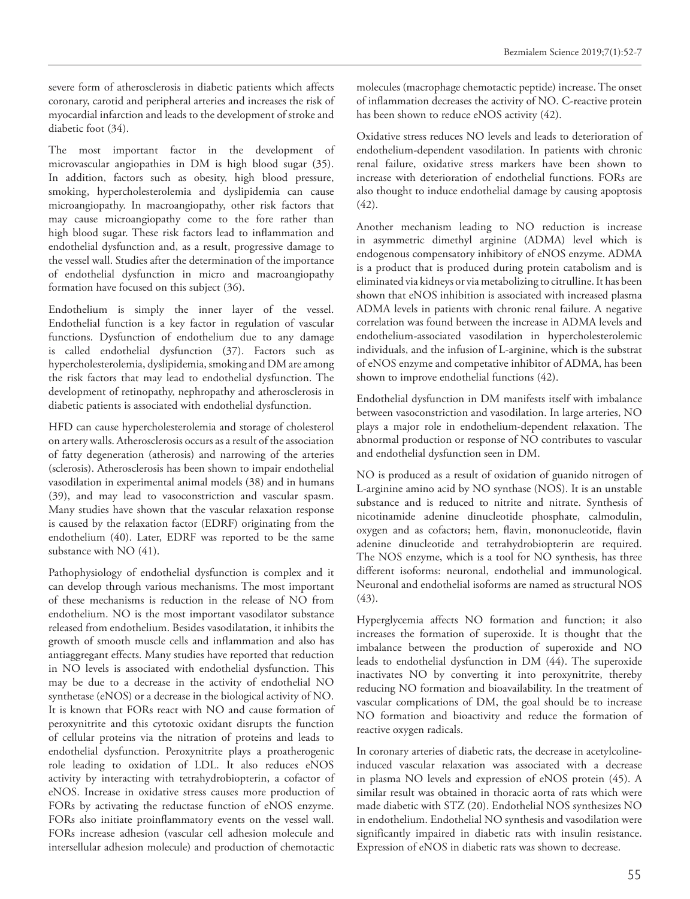severe form of atherosclerosis in diabetic patients which affects coronary, carotid and peripheral arteries and increases the risk of myocardial infarction and leads to the development of stroke and diabetic foot (34).

The most important factor in the development of microvascular angiopathies in DM is high blood sugar (35). In addition, factors such as obesity, high blood pressure, smoking, hypercholesterolemia and dyslipidemia can cause microangiopathy. In macroangiopathy, other risk factors that may cause microangiopathy come to the fore rather than high blood sugar. These risk factors lead to inflammation and endothelial dysfunction and, as a result, progressive damage to the vessel wall. Studies after the determination of the importance of endothelial dysfunction in micro and macroangiopathy formation have focused on this subject (36).

Endothelium is simply the inner layer of the vessel. Endothelial function is a key factor in regulation of vascular functions. Dysfunction of endothelium due to any damage is called endothelial dysfunction (37). Factors such as hypercholesterolemia, dyslipidemia, smoking and DM are among the risk factors that may lead to endothelial dysfunction. The development of retinopathy, nephropathy and atherosclerosis in diabetic patients is associated with endothelial dysfunction.

HFD can cause hypercholesterolemia and storage of cholesterol on artery walls. Atherosclerosis occurs as a result of the association of fatty degeneration (atherosis) and narrowing of the arteries (sclerosis). Atherosclerosis has been shown to impair endothelial vasodilation in experimental animal models (38) and in humans (39), and may lead to vasoconstriction and vascular spasm. Many studies have shown that the vascular relaxation response is caused by the relaxation factor (EDRF) originating from the endothelium (40). Later, EDRF was reported to be the same substance with NO (41).

Pathophysiology of endothelial dysfunction is complex and it can develop through various mechanisms. The most important of these mechanisms is reduction in the release of NO from endothelium. NO is the most important vasodilator substance released from endothelium. Besides vasodilatation, it inhibits the growth of smooth muscle cells and inflammation and also has antiaggregant effects. Many studies have reported that reduction in NO levels is associated with endothelial dysfunction. This may be due to a decrease in the activity of endothelial NO synthetase (eNOS) or a decrease in the biological activity of NO. It is known that FORs react with NO and cause formation of peroxynitrite and this cytotoxic oxidant disrupts the function of cellular proteins via the nitration of proteins and leads to endothelial dysfunction. Peroxynitrite plays a proatherogenic role leading to oxidation of LDL. It also reduces eNOS activity by interacting with tetrahydrobiopterin, a cofactor of eNOS. Increase in oxidative stress causes more production of FORs by activating the reductase function of eNOS enzyme. FORs also initiate proinflammatory events on the vessel wall. FORs increase adhesion (vascular cell adhesion molecule and intersellular adhesion molecule) and production of chemotactic

molecules (macrophage chemotactic peptide) increase. The onset of inflammation decreases the activity of NO. C-reactive protein has been shown to reduce eNOS activity (42).

Oxidative stress reduces NO levels and leads to deterioration of endothelium-dependent vasodilation. In patients with chronic renal failure, oxidative stress markers have been shown to increase with deterioration of endothelial functions. FORs are also thought to induce endothelial damage by causing apoptosis  $(42)$ .

Another mechanism leading to NO reduction is increase in asymmetric dimethyl arginine (ADMA) level which is endogenous compensatory inhibitory of eNOS enzyme. ADMA is a product that is produced during protein catabolism and is eliminated via kidneys or via metabolizing to citrulline. It has been shown that eNOS inhibition is associated with increased plasma ADMA levels in patients with chronic renal failure. A negative correlation was found between the increase in ADMA levels and endothelium-associated vasodilation in hypercholesterolemic individuals, and the infusion of L-arginine, which is the substrat of eNOS enzyme and competative inhibitor of ADMA, has been shown to improve endothelial functions (42).

Endothelial dysfunction in DM manifests itself with imbalance between vasoconstriction and vasodilation. In large arteries, NO plays a major role in endothelium-dependent relaxation. The abnormal production or response of NO contributes to vascular and endothelial dysfunction seen in DM.

NO is produced as a result of oxidation of guanido nitrogen of L-arginine amino acid by NO synthase (NOS). It is an unstable substance and is reduced to nitrite and nitrate. Synthesis of nicotinamide adenine dinucleotide phosphate, calmodulin, oxygen and as cofactors; hem, flavin, mononucleotide, flavin adenine dinucleotide and tetrahydrobiopterin are required. The NOS enzyme, which is a tool for NO synthesis, has three different isoforms: neuronal, endothelial and immunological. Neuronal and endothelial isoforms are named as structural NOS (43).

Hyperglycemia affects NO formation and function; it also increases the formation of superoxide. It is thought that the imbalance between the production of superoxide and NO leads to endothelial dysfunction in DM (44). The superoxide inactivates NO by converting it into peroxynitrite, thereby reducing NO formation and bioavailability. In the treatment of vascular complications of DM, the goal should be to increase NO formation and bioactivity and reduce the formation of reactive oxygen radicals.

In coronary arteries of diabetic rats, the decrease in acetylcolineinduced vascular relaxation was associated with a decrease in plasma NO levels and expression of eNOS protein (45). A similar result was obtained in thoracic aorta of rats which were made diabetic with STZ (20). Endothelial NOS synthesizes NO in endothelium. Endothelial NO synthesis and vasodilation were significantly impaired in diabetic rats with insulin resistance. Expression of eNOS in diabetic rats was shown to decrease.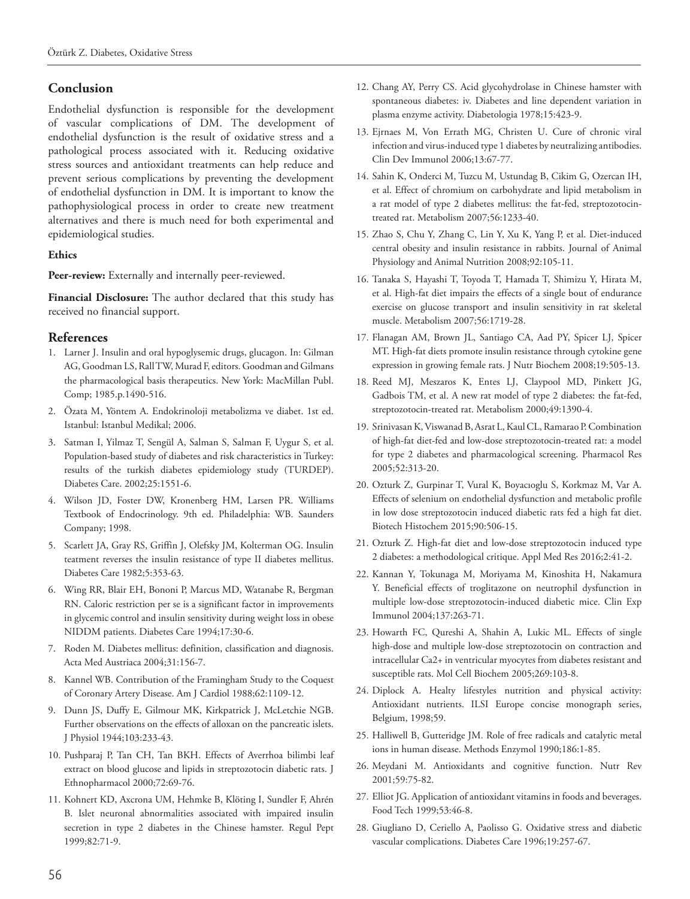# **Conclusion**

Endothelial dysfunction is responsible for the development of vascular complications of DM. The development of endothelial dysfunction is the result of oxidative stress and a pathological process associated with it. Reducing oxidative stress sources and antioxidant treatments can help reduce and prevent serious complications by preventing the development of endothelial dysfunction in DM. It is important to know the pathophysiological process in order to create new treatment alternatives and there is much need for both experimental and epidemiological studies.

# **Ethics**

Peer-review: Externally and internally peer-reviewed.

**Financial Disclosure:** The author declared that this study has received no financial support.

# **References**

- 1. Larner J. Insulin and oral hypoglysemic drugs, glucagon. In: Gilman AG, Goodman LS, Rall TW, Murad F, editors. Goodman and Gilmans the pharmacological basis therapeutics. New York: MacMillan Publ. Comp; 1985.p.1490-516.
- 2. Özata M, Yöntem A. Endokrinoloji metabolizma ve diabet. 1st ed. Istanbul: Istanbul Medikal; 2006.
- 3. Satman I, Yilmaz T, Sengül A, Salman S, Salman F, Uygur S, et al. Population-based study of diabetes and risk characteristics in Turkey: results of the turkish diabetes epidemiology study (TURDEP). Diabetes Care. 2002;25:1551-6.
- 4. Wilson JD, Foster DW, Kronenberg HM, Larsen PR. Williams Textbook of Endocrinology. 9th ed. Philadelphia: WB. Saunders Company; 1998.
- 5. Scarlett JA, Gray RS, Griffin J, Olefsky JM, Kolterman OG. Insulin teatment reverses the insulin resistance of type II diabetes mellitus. Diabetes Care 1982;5:353-63.
- 6. Wing RR, Blair EH, Bononi P, Marcus MD, Watanabe R, Bergman RN. Caloric restriction per se is a significant factor in improvements in glycemic control and insulin sensitivity during weight loss in obese NIDDM patients. Diabetes Care 1994;17:30-6.
- 7. Roden M. Diabetes mellitus: definition, classification and diagnosis. Acta Med Austriaca 2004;31:156-7.
- 8. Kannel WB. Contribution of the Framingham Study to the Coquest of Coronary Artery Disease. Am J Cardiol 1988;62:1109-12.
- 9. Dunn JS, Duffy E, Gilmour MK, Kirkpatrick J, McLetchie NGB. Further observations on the effects of alloxan on the pancreatic islets. J Physiol 1944;103:233-43.
- 10. Pushparaj P, Tan CH, Tan BKH. Effects of Averrhoa bilimbi leaf extract on blood glucose and lipids in streptozotocin diabetic rats. J Ethnopharmacol 2000;72:69-76.
- 11. Kohnert KD, Axcrona UM, Hehmke B, Klöting I, Sundler F, Ahrén B. Islet neuronal abnormalities associated with impaired insulin secretion in type 2 diabetes in the Chinese hamster. Regul Pept 1999;82:71-9.
- 12. Chang AY, Perry CS. Acid glycohydrolase in Chinese hamster with spontaneous diabetes: iv. Diabetes and line dependent variation in plasma enzyme activity. Diabetologia 1978;15:423-9.
- 13. Ejrnaes M, Von Errath MG, Christen U. Cure of chronic viral infection and virus-induced type 1 diabetes by neutralizing antibodies. Clin Dev Immunol 2006;13:67-77.
- 14. Sahin K, Onderci M, Tuzcu M, Ustundag B, Cikim G, Ozercan IH, et al. Effect of chromium on carbohydrate and lipid metabolism in a rat model of type 2 diabetes mellitus: the fat-fed, streptozotocintreated rat. Metabolism 2007;56:1233-40.
- 15. Zhao S, Chu Y, Zhang C, Lin Y, Xu K, Yang P, et al. Diet-induced central obesity and insulin resistance in rabbits. Journal of Animal Physiology and Animal Nutrition 2008;92:105-11.
- 16. Tanaka S, Hayashi T, Toyoda T, Hamada T, Shimizu Y, Hirata M, et al. High-fat diet impairs the effects of a single bout of endurance exercise on glucose transport and insulin sensitivity in rat skeletal muscle. Metabolism 2007;56:1719-28.
- 17. Flanagan AM, Brown JL, Santiago CA, Aad PY, Spicer LJ, Spicer MT. High-fat diets promote insulin resistance through cytokine gene expression in growing female rats. J Nutr Biochem 2008;19:505-13.
- 18. Reed MJ, Meszaros K, Entes LJ, Claypool MD, Pinkett JG, Gadbois TM, et al. A new rat model of type 2 diabetes: the fat-fed, streptozotocin-treated rat. Metabolism 2000;49:1390-4.
- 19. Srinivasan K, Viswanad B, Asrat L, Kaul CL, Ramarao P. Combination of high-fat diet-fed and low-dose streptozotocin-treated rat: a model for type 2 diabetes and pharmacological screening. Pharmacol Res 2005;52:313-20.
- 20. Ozturk Z, Gurpinar T, Vural K, Boyacıoglu S, Korkmaz M, Var A. Effects of selenium on endothelial dysfunction and metabolic profile in low dose streptozotocin induced diabetic rats fed a high fat diet. Biotech Histochem 2015;90:506-15.
- 21. Ozturk Z. High-fat diet and low-dose streptozotocin induced type 2 diabetes: a methodological critique. Appl Med Res 2016;2:41-2.
- 22. Kannan Y, Tokunaga M, Moriyama M, Kinoshita H, Nakamura Y. Beneficial effects of troglitazone on neutrophil dysfunction in multiple low-dose streptozotocin-induced diabetic mice. Clin Exp Immunol 2004;137:263-71.
- 23. Howarth FC, Qureshi A, Shahin A, Lukic ML. Effects of single high-dose and multiple low-dose streptozotocin on contraction and intracellular Ca2+ in ventricular myocytes from diabetes resistant and susceptible rats. Mol Cell Biochem 2005;269:103-8.
- 24. Diplock A. Healty lifestyles nutrition and physical activity: Antioxidant nutrients. ILSI Europe concise monograph series, Belgium, 1998;59.
- 25. Halliwell B, Gutteridge JM. Role of free radicals and catalytic metal ions in human disease. Methods Enzymol 1990;186:1-85.
- 26. Meydani M. Antioxidants and cognitive function. Nutr Rev 2001;59:75-82.
- 27. Elliot JG. Application of antioxidant vitamins in foods and beverages. Food Tech 1999;53:46-8.
- 28. Giugliano D, Ceriello A, Paolisso G. Oxidative stress and diabetic vascular complications. Diabetes Care 1996;19:257-67.